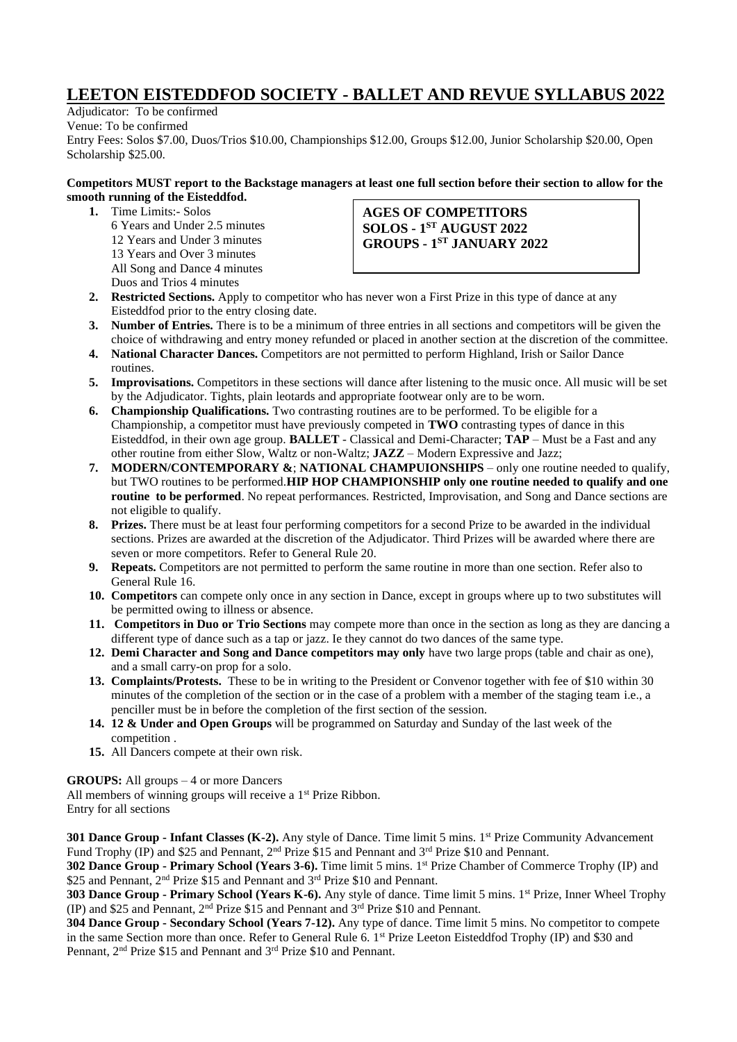# **LEETON EISTEDDFOD SOCIETY - BALLET AND REVUE SYLLABUS 2022**

Adjudicator: To be confirmed Venue: To be confirmed Entry Fees: Solos \$7.00, Duos/Trios \$10.00, Championships \$12.00, Groups \$12.00, Junior Scholarship \$20.00, Open Scholarship \$25.00.

# **Competitors MUST report to the Backstage managers at least one full section before their section to allow for the smooth running of the Eisteddfod.**

**1.** Time Limits:- Solos 6 Years and Under 2.5 minutes 12 Years and Under 3 minutes 13 Years and Over 3 minutes All Song and Dance 4 minutes Duos and Trios 4 minutes

**AGES OF COMPETITORS SOLOS - 1 ST AUGUST 2022 GROUPS - 1 ST JANUARY 2022**

- **2. Restricted Sections.** Apply to competitor who has never won a First Prize in this type of dance at any Eisteddfod prior to the entry closing date.
- **3. Number of Entries.** There is to be a minimum of three entries in all sections and competitors will be given the choice of withdrawing and entry money refunded or placed in another section at the discretion of the committee.
- **4. National Character Dances.** Competitors are not permitted to perform Highland, Irish or Sailor Dance routines.
- **5. Improvisations.** Competitors in these sections will dance after listening to the music once. All music will be set by the Adjudicator. Tights, plain leotards and appropriate footwear only are to be worn.
- **6. Championship Qualifications.** Two contrasting routines are to be performed. To be eligible for a Championship, a competitor must have previously competed in **TWO** contrasting types of dance in this Eisteddfod, in their own age group. **BALLET** - Classical and Demi-Character; **TAP** – Must be a Fast and any other routine from either Slow, Waltz or non-Waltz; **JAZZ** – Modern Expressive and Jazz;
- **7. MODERN/CONTEMPORARY &**; **NATIONAL CHAMPUIONSHIPS** only one routine needed to qualify, but TWO routines to be performed.**HIP HOP CHAMPIONSHIP only one routine needed to qualify and one routine to be performed**. No repeat performances. Restricted, Improvisation, and Song and Dance sections are not eligible to qualify.
- **8. Prizes.** There must be at least four performing competitors for a second Prize to be awarded in the individual sections. Prizes are awarded at the discretion of the Adjudicator. Third Prizes will be awarded where there are seven or more competitors. Refer to General Rule 20.
- **9. Repeats.** Competitors are not permitted to perform the same routine in more than one section. Refer also to General Rule 16.
- **10. Competitors** can compete only once in any section in Dance, except in groups where up to two substitutes will be permitted owing to illness or absence.
- **11. Competitors in Duo or Trio Sections** may compete more than once in the section as long as they are dancing a different type of dance such as a tap or jazz. Ie they cannot do two dances of the same type.
- **12. Demi Character and Song and Dance competitors may only** have two large props (table and chair as one), and a small carry-on prop for a solo.
- **13. Complaints/Protests.** These to be in writing to the President or Convenor together with fee of \$10 within 30 minutes of the completion of the section or in the case of a problem with a member of the staging team i.e., a penciller must be in before the completion of the first section of the session.
- **14. 12 & Under and Open Groups** will be programmed on Saturday and Sunday of the last week of the competition .
- **15.** All Dancers compete at their own risk.

**GROUPS:** All groups – 4 or more Dancers

All members of winning groups will receive a 1<sup>st</sup> Prize Ribbon. Entry for all sections

**301 Dance Group - Infant Classes (K-2).** Any style of Dance. Time limit 5 mins. 1st Prize Community Advancement Fund Trophy (IP) and \$25 and Pennant, 2nd Prize \$15 and Pennant and 3rd Prize \$10 and Pennant.

**302 Dance Group - Primary School (Years 3-6).** Time limit 5 mins. 1st Prize Chamber of Commerce Trophy (IP) and \$25 and Pennant, 2<sup>nd</sup> Prize \$15 and Pennant and 3<sup>rd</sup> Prize \$10 and Pennant.

**303 Dance Group - Primary School (Years K-6).** Any style of dance. Time limit 5 mins. 1st Prize, Inner Wheel Trophy (IP) and \$25 and Pennant, 2nd Prize \$15 and Pennant and 3rd Prize \$10 and Pennant.

**304 Dance Group - Secondary School (Years 7-12).** Any type of dance. Time limit 5 mins. No competitor to compete in the same Section more than once. Refer to General Rule 6. 1<sup>st</sup> Prize Leeton Eisteddfod Trophy (IP) and \$30 and Pennant, 2nd Prize \$15 and Pennant and 3rd Prize \$10 and Pennant.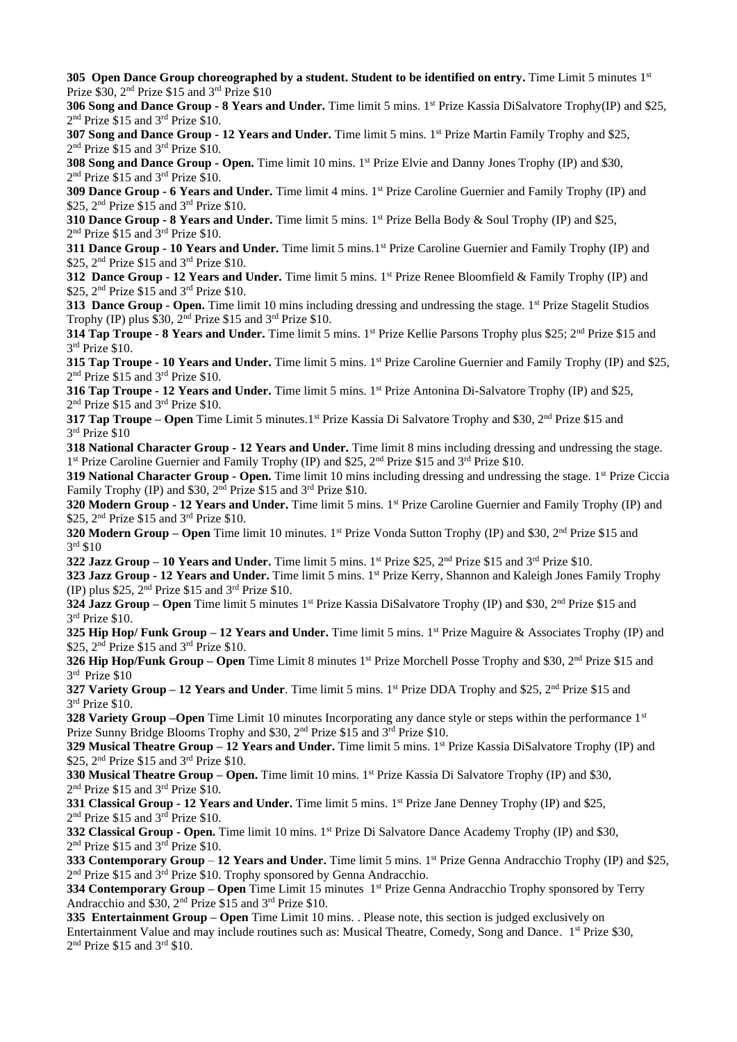**305 Open Dance Group choreographed by a student. Student to be identified on entry.** Time Limit 5 minutes 1 st Prize \$30, 2<sup>nd</sup> Prize \$15 and 3<sup>rd</sup> Prize \$10

**306 Song and Dance Group - 8 Years and Under.** Time limit 5 mins. 1st Prize Kassia DiSalvatore Trophy(IP) and \$25, 2 nd Prize \$15 and 3rd Prize \$10.

**307 Song and Dance Group - 12 Years and Under.** Time limit 5 mins. 1st Prize Martin Family Trophy and \$25, 2 nd Prize \$15 and 3rd Prize \$10.

**308 Song and Dance Group - Open.** Time limit 10 mins. 1st Prize Elvie and Danny Jones Trophy (IP) and \$30, 2 nd Prize \$15 and 3rd Prize \$10.

**309 Dance Group - 6 Years and Under.** Time limit 4 mins. 1<sup>st</sup> Prize Caroline Guernier and Family Trophy (IP) and \$25, 2<sup>nd</sup> Prize \$15 and 3<sup>rd</sup> Prize \$10.

**310 Dance Group - 8 Years and Under.** Time limit 5 mins. 1st Prize Bella Body & Soul Trophy (IP) and \$25, 2<sup>nd</sup> Prize \$15 and 3<sup>rd</sup> Prize \$10.

**311 Dance Group - 10 Years and Under.** Time limit 5 mins.1st Prize Caroline Guernier and Family Trophy (IP) and \$25, 2<sup>nd</sup> Prize \$15 and 3<sup>rd</sup> Prize \$10.

**312 Dance Group - 12 Years and Under.** Time limit 5 mins. 1<sup>st</sup> Prize Renee Bloomfield & Family Trophy (IP) and \$25, 2<sup>nd</sup> Prize \$15 and 3<sup>rd</sup> Prize \$10.

**313 Dance Group - Open.** Time limit 10 mins including dressing and undressing the stage. 1st Prize Stagelit Studios Trophy (IP) plus \$30,  $2^{nd}$  Prize \$15 and  $3^{rd}$  Prize \$10.

**314 Tap Troupe - 8 Years and Under.** Time limit 5 mins. 1<sup>st</sup> Prize Kellie Parsons Trophy plus \$25; 2<sup>nd</sup> Prize \$15 and 3 rd Prize \$10.

**315 Tap Troupe - 10 Years and Under.** Time limit 5 mins. 1st Prize Caroline Guernier and Family Trophy (IP) and \$25, 2<sup>nd</sup> Prize \$15 and 3<sup>rd</sup> Prize \$10.

**316** Tap Troupe - 12 Years and Under. Time limit 5 mins. 1<sup>st</sup> Prize Antonina Di-Salvatore Trophy (IP) and \$25, 2<sup>nd</sup> Prize \$15 and 3<sup>rd</sup> Prize \$10.

**317 Tap Troupe – Open** Time Limit 5 minutes.1st Prize Kassia Di Salvatore Trophy and \$30, 2nd Prize \$15 and 3 rd Prize \$10

**318 National Character Group - 12 Years and Under.** Time limit 8 mins including dressing and undressing the stage. 1<sup>st</sup> Prize Caroline Guernier and Family Trophy (IP) and \$25, 2<sup>nd</sup> Prize \$15 and 3<sup>rd</sup> Prize \$10.

**319 National Character Group - Open.** Time limit 10 mins including dressing and undressing the stage. 1<sup>st</sup> Prize Ciccia Family Trophy (IP) and \$30, 2nd Prize \$15 and 3rd Prize \$10.

**320 Modern Group - 12 Years and Under.** Time limit 5 mins. 1st Prize Caroline Guernier and Family Trophy (IP) and \$25, 2nd Prize \$15 and 3rd Prize \$10.

**320 Modern Group – Open** Time limit 10 minutes. 1st Prize Vonda Sutton Trophy (IP) and \$30, 2nd Prize \$15 and 3 rd \$10

**322 Jazz Group – 10 Years and Under.** Time limit 5 mins. 1st Prize \$25, 2nd Prize \$15 and 3rd Prize \$10.

**323 Jazz Group - 12 Years and Under.** Time limit 5 mins. 1st Prize Kerry, Shannon and Kaleigh Jones Family Trophy (IP) plus \$25,  $2<sup>nd</sup>$  Prize \$15 and  $3<sup>rd</sup>$  Prize \$10.

**324 Jazz Group – Open** Time limit 5 minutes 1st Prize Kassia DiSalvatore Trophy (IP) and \$30, 2nd Prize \$15 and 3 rd Prize \$10.

**325 Hip Hop/ Funk Group – 12 Years and Under.** Time limit 5 mins. 1st Prize Maguire & Associates Trophy (IP) and \$25,  $2<sup>n\overline{d}</sup>$  Prize \$15 and  $3<sup>rd</sup>$  Prize \$10.

**326 Hip Hop/Funk Group – Open** Time Limit 8 minutes 1st Prize Morchell Posse Trophy and \$30, 2nd Prize \$15 and 3 rd Prize \$10

**327 Variety Group – 12 Years and Under**. Time limit 5 mins. 1st Prize DDA Trophy and \$25, 2nd Prize \$15 and 3 rd Prize \$10.

**328 Variety Group –Open** Time Limit 10 minutes Incorporating any dance style or steps within the performance 1<sup>st</sup> Prize Sunny Bridge Blooms Trophy and \$30, 2<sup>nd</sup> Prize \$15 and 3<sup>rd</sup> Prize \$10.

**329 Musical Theatre Group – 12 Years and Under.** Time limit 5 mins. 1st Prize Kassia DiSalvatore Trophy (IP) and \$25, 2nd Prize \$15 and 3rd Prize \$10.

**330 Musical Theatre Group – Open.** Time limit 10 mins. 1<sup>st</sup> Prize Kassia Di Salvatore Trophy (IP) and \$30, 2 nd Prize \$15 and 3rd Prize \$10.

**331 Classical Group - 12 Years and Under.** Time limit 5 mins. 1st Prize Jane Denney Trophy (IP) and \$25, 2<sup>nd</sup> Prize \$15 and 3<sup>rd</sup> Prize \$10.

**332 Classical Group - Open.** Time limit 10 mins. 1st Prize Di Salvatore Dance Academy Trophy (IP) and \$30, 2 nd Prize \$15 and 3rd Prize \$10.

**333 Contemporary Group** – **12 Years and Under.** Time limit 5 mins. 1st Prize Genna Andracchio Trophy (IP) and \$25, 2<sup>nd</sup> Prize \$15 and 3<sup>rd</sup> Prize \$10. Trophy sponsored by Genna Andracchio.

**334 Contemporary Group – Open** Time Limit 15 minutes 1st Prize Genna Andracchio Trophy sponsored by Terry Andracchio and \$30, 2<sup>nd</sup> Prize \$15 and 3<sup>rd</sup> Prize \$10.

**335 Entertainment Group – Open** Time Limit 10 mins. . Please note, this section is judged exclusively on Entertainment Value and may include routines such as: Musical Theatre, Comedy, Song and Dance. 1<sup>st</sup> Prize \$30,  $2<sup>nd</sup>$  Prize \$15 and  $3<sup>rd</sup>$  \$10.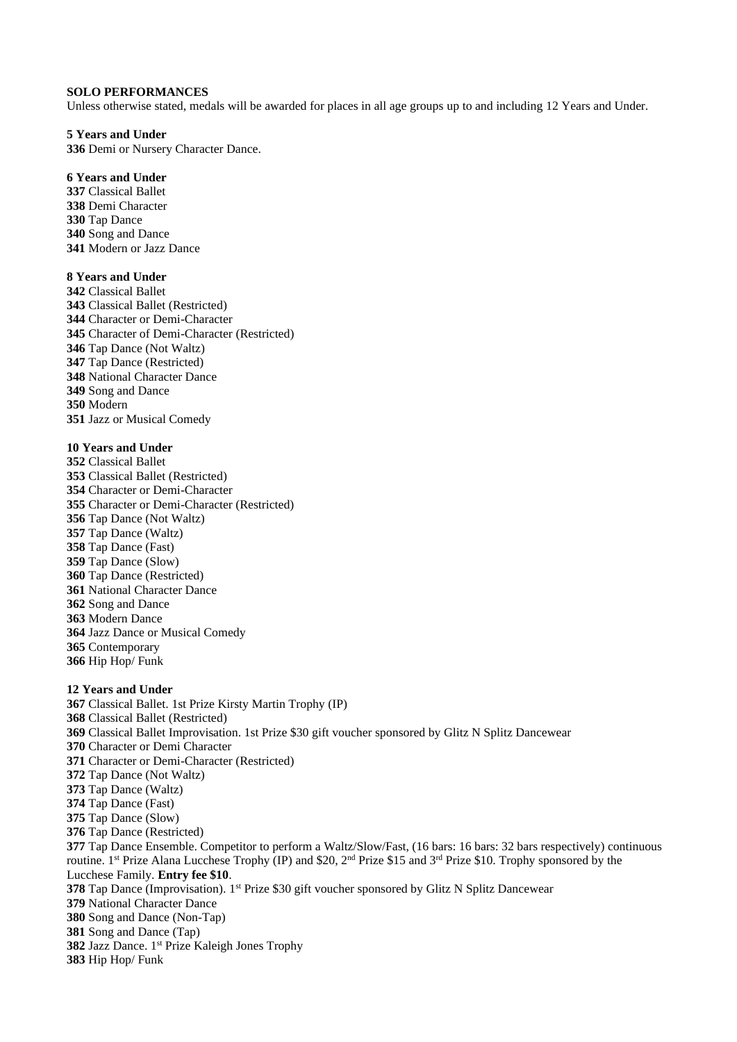#### **SOLO PERFORMANCES**

Unless otherwise stated, medals will be awarded for places in all age groups up to and including 12 Years and Under.

#### **5 Years and Under**

Demi or Nursery Character Dance.

## **6 Years and Under**

 Classical Ballet Demi Character Tap Dance Song and Dance Modern or Jazz Dance

## **8 Years and Under**

 Classical Ballet Classical Ballet (Restricted) Character or Demi-Character Character of Demi-Character (Restricted) Tap Dance (Not Waltz) Tap Dance (Restricted) National Character Dance Song and Dance Modern Jazz or Musical Comedy

#### **10 Years and Under**

 Classical Ballet Classical Ballet (Restricted) Character or Demi-Character Character or Demi-Character (Restricted) Tap Dance (Not Waltz) Tap Dance (Waltz) Tap Dance (Fast) Tap Dance (Slow) Tap Dance (Restricted) National Character Dance Song and Dance Modern Dance Jazz Dance or Musical Comedy Contemporary Hip Hop/ Funk

#### **12 Years and Under**

 Classical Ballet. 1st Prize Kirsty Martin Trophy (IP) Classical Ballet (Restricted) Classical Ballet Improvisation. 1st Prize \$30 gift voucher sponsored by Glitz N Splitz Dancewear Character or Demi Character Character or Demi-Character (Restricted) Tap Dance (Not Waltz) Tap Dance (Waltz) Tap Dance (Fast) Tap Dance (Slow) Tap Dance (Restricted) Tap Dance Ensemble. Competitor to perform a Waltz/Slow/Fast, (16 bars: 16 bars: 32 bars respectively) continuous routine. 1<sup>st</sup> Prize Alana Lucchese Trophy (IP) and \$20, 2<sup>nd</sup> Prize \$15 and 3<sup>rd</sup> Prize \$10. Trophy sponsored by the Lucchese Family. **Entry fee \$10**. Tap Dance (Improvisation). 1<sup>st</sup> Prize \$30 gift voucher sponsored by Glitz N Splitz Dancewear National Character Dance Song and Dance (Non-Tap) Song and Dance (Tap) Jazz Dance. 1<sup>st</sup> Prize Kaleigh Jones Trophy Hip Hop/ Funk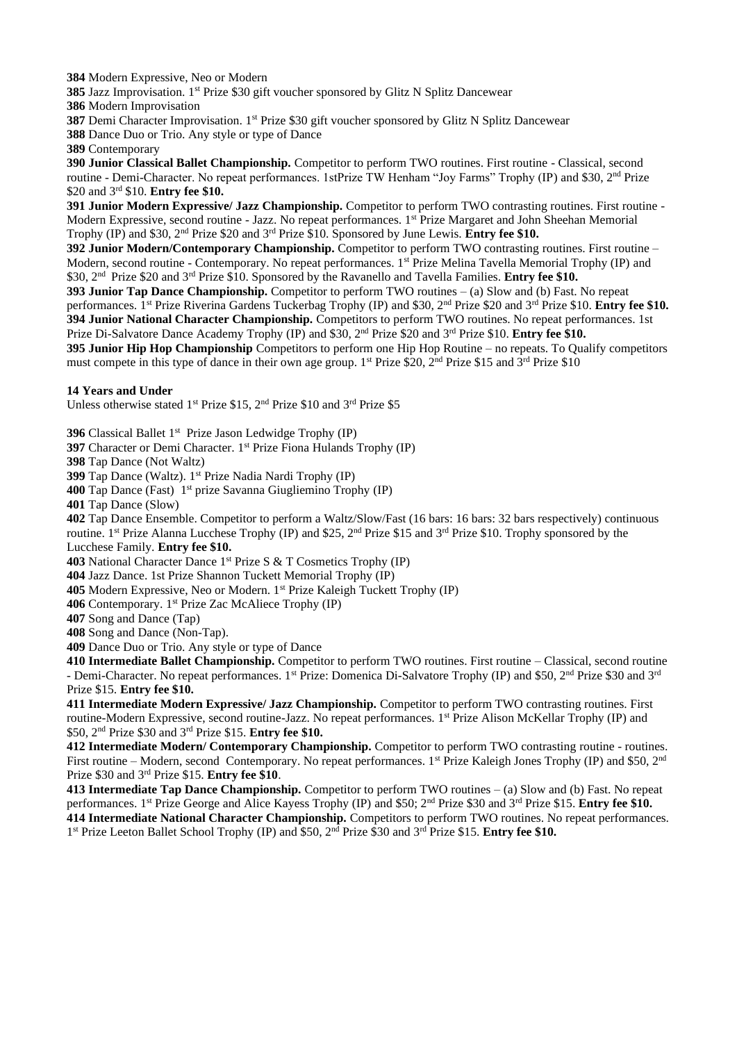**384** Modern Expressive, Neo or Modern

**385** Jazz Improvisation. 1st Prize \$30 gift voucher sponsored by Glitz N Splitz Dancewear

**386** Modern Improvisation

**387** Demi Character Improvisation. 1<sup>st</sup> Prize \$30 gift voucher sponsored by Glitz N Splitz Dancewear

**388** Dance Duo or Trio. Any style or type of Dance

**389** Contemporary

**390 Junior Classical Ballet Championship.** Competitor to perform TWO routines. First routine - Classical, second routine - Demi-Character. No repeat performances. 1stPrize TW Henham "Joy Farms" Trophy (IP) and \$30, 2nd Prize \$20 and 3rd \$10. **Entry fee \$10.**

**391 Junior Modern Expressive/ Jazz Championship.** Competitor to perform TWO contrasting routines. First routine - Modern Expressive, second routine - Jazz. No repeat performances. 1st Prize Margaret and John Sheehan Memorial Trophy (IP) and \$30, 2nd Prize \$20 and 3rd Prize \$10. Sponsored by June Lewis. **Entry fee \$10.**

**392 Junior Modern/Contemporary Championship.** Competitor to perform TWO contrasting routines. First routine – Modern, second routine - Contemporary. No repeat performances. 1<sup>st</sup> Prize Melina Tavella Memorial Trophy (IP) and \$30, 2nd Prize \$20 and 3rd Prize \$10. Sponsored by the Ravanello and Tavella Families. **Entry fee \$10.**

**393 Junior Tap Dance Championship.** Competitor to perform TWO routines – (a) Slow and (b) Fast. No repeat performances. 1st Prize Riverina Gardens Tuckerbag Trophy (IP) and \$30, 2nd Prize \$20 and 3rd Prize \$10. **Entry fee \$10. 394 Junior National Character Championship.** Competitors to perform TWO routines. No repeat performances. 1st Prize Di-Salvatore Dance Academy Trophy (IP) and \$30, 2nd Prize \$20 and 3rd Prize \$10. **Entry fee \$10.**

**395 Junior Hip Hop Championship** Competitors to perform one Hip Hop Routine – no repeats. To Qualify competitors must compete in this type of dance in their own age group. 1<sup>st</sup> Prize \$20, 2<sup>nd</sup> Prize \$15 and 3<sup>rd</sup> Prize \$10

#### **14 Years and Under**

Unless otherwise stated 1<sup>st</sup> Prize \$15, 2<sup>nd</sup> Prize \$10 and 3<sup>rd</sup> Prize \$5

396 Classical Ballet 1<sup>st</sup> Prize Jason Ledwidge Trophy (IP)

**397** Character or Demi Character. 1<sup>st</sup> Prize Fiona Hulands Trophy (IP)

**398** Tap Dance (Not Waltz)

**399** Tap Dance (Waltz). 1st Prize Nadia Nardi Trophy (IP)

**400** Tap Dance (Fast) 1 st prize Savanna Giugliemino Trophy (IP)

**401** Tap Dance (Slow)

**402** Tap Dance Ensemble. Competitor to perform a Waltz/Slow/Fast (16 bars: 16 bars: 32 bars respectively) continuous routine. 1<sup>st</sup> Prize Alanna Lucchese Trophy (IP) and \$25, 2<sup>nd</sup> Prize \$15 and 3<sup>rd</sup> Prize \$10. Trophy sponsored by the Lucchese Family. **Entry fee \$10.**

403 National Character Dance 1<sup>st</sup> Prize S & T Cosmetics Trophy (IP)

**404** Jazz Dance. 1st Prize Shannon Tuckett Memorial Trophy (IP)

**405** Modern Expressive, Neo or Modern. 1st Prize Kaleigh Tuckett Trophy (IP)

**406** Contemporary. 1st Prize Zac McAliece Trophy (IP)

**407** Song and Dance (Tap)

**408** Song and Dance (Non-Tap).

**409** Dance Duo or Trio. Any style or type of Dance

**410 Intermediate Ballet Championship.** Competitor to perform TWO routines. First routine – Classical, second routine - Demi-Character. No repeat performances. 1<sup>st</sup> Prize: Domenica Di-Salvatore Trophy (IP) and \$50, 2<sup>nd</sup> Prize \$30 and 3<sup>rd</sup> Prize \$15. **Entry fee \$10.**

**411 Intermediate Modern Expressive/ Jazz Championship.** Competitor to perform TWO contrasting routines. First routine-Modern Expressive, second routine-Jazz. No repeat performances. 1st Prize Alison McKellar Trophy (IP) and \$50, 2nd Prize \$30 and 3rd Prize \$15. **Entry fee \$10.**

**412 Intermediate Modern/ Contemporary Championship.** Competitor to perform TWO contrasting routine - routines. First routine – Modern, second Contemporary. No repeat performances. 1<sup>st</sup> Prize Kaleigh Jones Trophy (IP) and \$50, 2<sup>nd</sup> Prize \$30 and 3rd Prize \$15. **Entry fee \$10**.

 **Intermediate Tap Dance Championship.** Competitor to perform TWO routines – (a) Slow and (b) Fast. No repeat performances. 1st Prize George and Alice Kayess Trophy (IP) and \$50; 2nd Prize \$30 and 3rd Prize \$15. **Entry fee \$10. Intermediate National Character Championship.** Competitors to perform TWO routines. No repeat performances. st Prize Leeton Ballet School Trophy (IP) and \$50, 2nd Prize \$30 and 3rd Prize \$15. **Entry fee \$10.**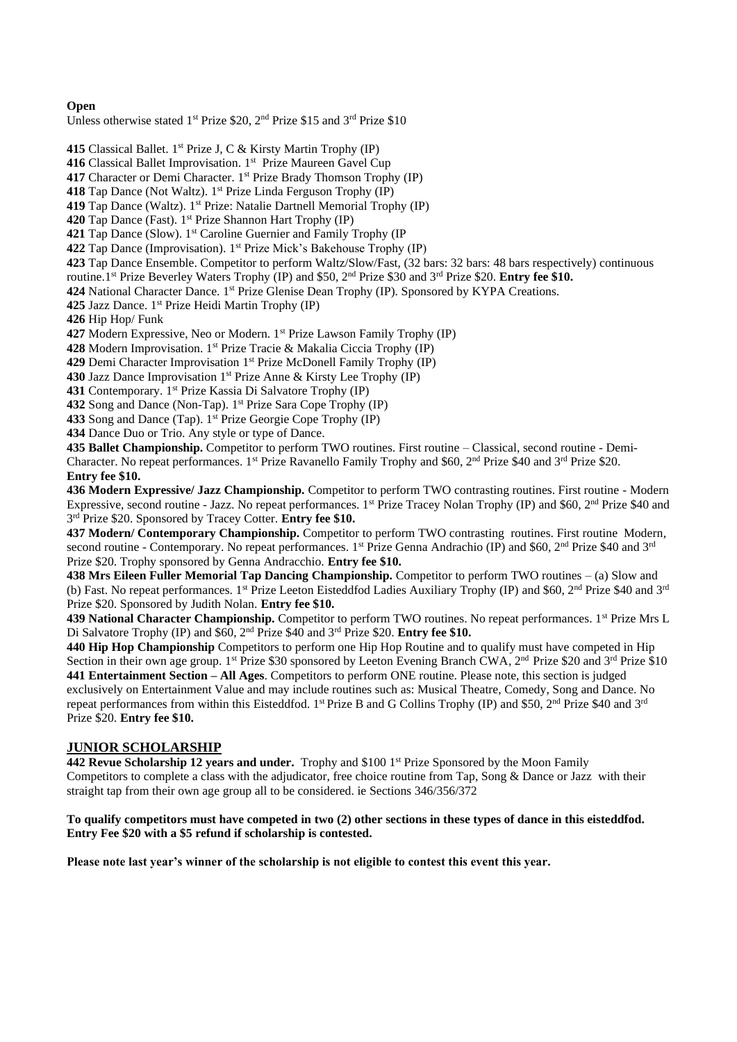# **Open**

Unless otherwise stated 1<sup>st</sup> Prize \$20, 2<sup>nd</sup> Prize \$15 and  $3<sup>rd</sup>$  Prize \$10

415 Classical Ballet. 1<sup>st</sup> Prize J, C & Kirsty Martin Trophy (IP)

**416** Classical Ballet Improvisation. 1<sup>st</sup> Prize Maureen Gavel Cup

**417** Character or Demi Character. 1<sup>st</sup> Prize Brady Thomson Trophy (IP)

**418** Tap Dance (Not Waltz). 1<sup>st</sup> Prize Linda Ferguson Trophy (IP)

419 Tap Dance (Waltz). 1<sup>st</sup> Prize: Natalie Dartnell Memorial Trophy (IP)

420 Tap Dance (Fast). 1<sup>st</sup> Prize Shannon Hart Trophy (IP)

421 Tap Dance (Slow). 1<sup>st</sup> Caroline Guernier and Family Trophy (IP

**422** Tap Dance (Improvisation). 1st Prize Mick's Bakehouse Trophy (IP)

**423** Tap Dance Ensemble. Competitor to perform Waltz/Slow/Fast, (32 bars: 32 bars: 48 bars respectively) continuous

routine.1st Prize Beverley Waters Trophy (IP) and \$50, 2nd Prize \$30 and 3rd Prize \$20. **Entry fee \$10.**

424 National Character Dance. 1<sup>st</sup> Prize Glenise Dean Trophy (IP). Sponsored by KYPA Creations.

**425** Jazz Dance. 1st Prize Heidi Martin Trophy (IP)

**426** Hip Hop/ Funk

**427** Modern Expressive, Neo or Modern. 1st Prize Lawson Family Trophy (IP)

**428** Modern Improvisation. 1st Prize Tracie & Makalia Ciccia Trophy (IP)

429 Demi Character Improvisation 1<sup>st</sup> Prize McDonell Family Trophy (IP)

**430** Jazz Dance Improvisation 1 st Prize Anne & Kirsty Lee Trophy (IP)

**431** Contemporary. 1st Prize Kassia Di Salvatore Trophy (IP)

**432** Song and Dance (Non-Tap). 1<sup>st</sup> Prize Sara Cope Trophy (IP)

**433** Song and Dance (Tap). 1st Prize Georgie Cope Trophy (IP)

**434** Dance Duo or Trio. Any style or type of Dance.

**435 Ballet Championship.** Competitor to perform TWO routines. First routine – Classical, second routine - Demi-Character. No repeat performances. 1<sup>st</sup> Prize Ravanello Family Trophy and  $$60, 2<sup>nd</sup> Prize $40$  and  $3<sup>rd</sup> Prize $20$ . **Entry fee \$10.** 

**436 Modern Expressive/ Jazz Championship.** Competitor to perform TWO contrasting routines. First routine - Modern Expressive, second routine - Jazz. No repeat performances. 1<sup>st</sup> Prize Tracey Nolan Trophy (IP) and \$60, 2<sup>nd</sup> Prize \$40 and 3 rd Prize \$20. Sponsored by Tracey Cotter. **Entry fee \$10.**

**437 Modern/ Contemporary Championship.** Competitor to perform TWO contrasting routines. First routine Modern, second routine - Contemporary. No repeat performances. 1<sup>st</sup> Prize Genna Andrachio (IP) and \$60, 2<sup>nd</sup> Prize \$40 and 3<sup>rd</sup> Prize \$20. Trophy sponsored by Genna Andracchio. **Entry fee \$10.**

**438 Mrs Eileen Fuller Memorial Tap Dancing Championship.** Competitor to perform TWO routines – (a) Slow and (b) Fast. No repeat performances. 1st Prize Leeton Eisteddfod Ladies Auxiliary Trophy (IP) and \$60, 2<sup>nd</sup> Prize \$40 and 3<sup>rd</sup> Prize \$20. Sponsored by Judith Nolan. **Entry fee \$10.**

**439 National Character Championship.** Competitor to perform TWO routines. No repeat performances. 1st Prize Mrs L Di Salvatore Trophy (IP) and \$60, 2nd Prize \$40 and 3rd Prize \$20. **Entry fee \$10.** 

**440 Hip Hop Championship** Competitors to perform one Hip Hop Routine and to qualify must have competed in Hip Section in their own age group. 1<sup>st</sup> Prize \$30 sponsored by Leeton Evening Branch CWA, 2<sup>nd</sup> Prize \$20 and 3<sup>rd</sup> Prize \$10 **441 Entertainment Section – All Ages**. Competitors to perform ONE routine. Please note, this section is judged exclusively on Entertainment Value and may include routines such as: Musical Theatre, Comedy, Song and Dance. No repeat performances from within this Eisteddfod. 1<sup>st</sup> Prize B and G Collins Trophy (IP) and \$50, 2<sup>nd</sup> Prize \$40 and 3<sup>rd</sup> Prize \$20. **Entry fee \$10.** 

# **JUNIOR SCHOLARSHIP**

442 Revue Scholarship 12 years and under. Trophy and \$100 1<sup>st</sup> Prize Sponsored by the Moon Family Competitors to complete a class with the adjudicator, free choice routine from Tap, Song & Dance or Jazz with their straight tap from their own age group all to be considered. ie Sections 346/356/372

**To qualify competitors must have competed in two (2) other sections in these types of dance in this eisteddfod. Entry Fee \$20 with a \$5 refund if scholarship is contested.**

**Please note last year's winner of the scholarship is not eligible to contest this event this year.**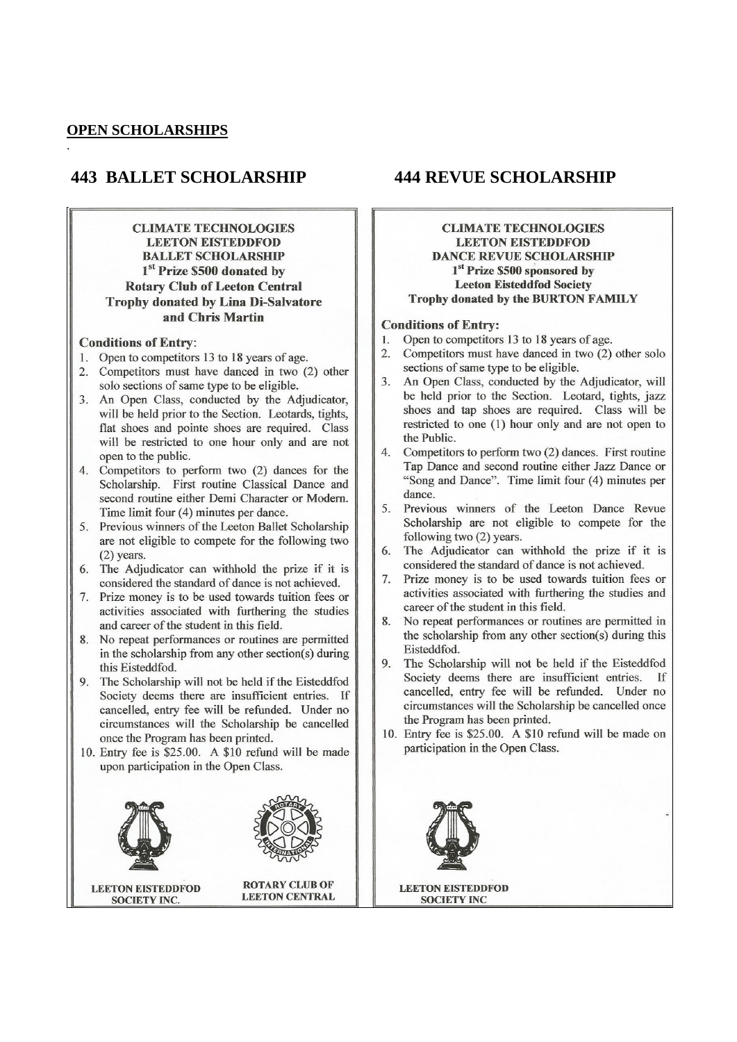# **OPEN SCHOLARSHIPS**

.

# **443 BALLET SCHOLARSHIP 444 REVUE SCHOLARSHIP**

# **CLIMATE TECHNOLOGIES LEETON EISTEDDFOD BALLET SCHOLARSHIP** 1<sup>st</sup> Prize \$500 donated by **Rotary Club of Leeton Central Trophy donated by Lina Di-Salvatore** and Chris Martin

## **Conditions of Entry:**

- 1. Open to competitors 13 to 18 years of age.
- $\overline{2}$ . Competitors must have danced in two (2) other solo sections of same type to be eligible.
- $\overline{3}$ . An Open Class, conducted by the Adjudicator, will be held prior to the Section. Leotards, tights, flat shoes and pointe shoes are required. Class will be restricted to one hour only and are not open to the public.
- Competitors to perform two  $(2)$  dances for the  $4.$ Scholarship. First routine Classical Dance and second routine either Demi Character or Modern. Time limit four (4) minutes per dance.
- 5. Previous winners of the Leeton Ballet Scholarship are not eligible to compete for the following two  $(2)$  years.
- The Adjudicator can withhold the prize if it is 6. considered the standard of dance is not achieved.
- $7.$ Prize money is to be used towards tuition fees or activities associated with furthering the studies and career of the student in this field.
- 8. No repeat performances or routines are permitted in the scholarship from any other section(s) during this Eisteddfod.
- 9. The Scholarship will not be held if the Eisteddfod Society deems there are insufficient entries. If cancelled, entry fee will be refunded. Under no circumstances will the Scholarship be cancelled once the Program has been printed.
- 10. Entry fee is \$25.00. A \$10 refund will be made upon participation in the Open Class.





**LEETON EISTEDDFOD SOCIETY INC.** 

**ROTARY CLUB OF LEETON CENTRAL** 

### **CLIMATE TECHNOLOGIES LEETON EISTEDDFOD DANCE REVUE SCHOLARSHIP** 1<sup>st</sup> Prize \$500 sponsored by **Leeton Eisteddfod Society Trophy donated by the BURTON FAMILY**

# **Conditions of Entry:**

- Open to competitors 13 to 18 years of age. 1.
- $2.$ Competitors must have danced in two (2) other solo sections of same type to be eligible.
- An Open Class, conducted by the Adjudicator, will  $\overline{3}$ . be held prior to the Section. Leotard, tights, jazz shoes and tap shoes are required. Class will be restricted to one (1) hour only and are not open to the Public.
- $4.$ Competitors to perform two (2) dances. First routine Tap Dance and second routine either Jazz Dance or "Song and Dance". Time limit four (4) minutes per dance.
- 5. Previous winners of the Leeton Dance Revue Scholarship are not eligible to compete for the following two  $(2)$  years.
- The Adjudicator can withhold the prize if it is 6. considered the standard of dance is not achieved.
- Prize money is to be used towards tuition fees or  $\overline{7}$ . activities associated with furthering the studies and career of the student in this field.
- No repeat performances or routines are permitted in  $\overline{8}$ the scholarship from any other section(s) during this Eisteddfod.
- $9<sub>1</sub>$ The Scholarship will not be held if the Eisteddfod Society deems there are insufficient entries. If cancelled, entry fee will be refunded. Under no circumstances will the Scholarship be cancelled once the Program has been printed.
- 10. Entry fee is \$25.00. A \$10 refund will be made on participation in the Open Class.



**LEETON EISTEDDFOD SOCIETY INC**